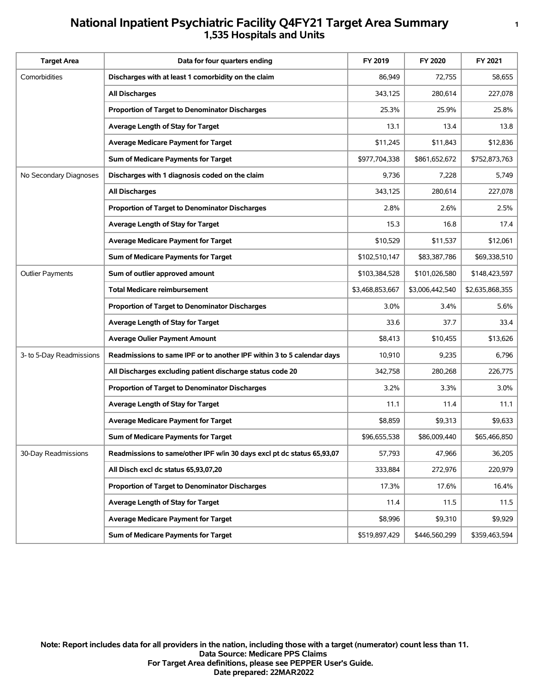## **National Inpatient Psychiatric Facility Q4FY21 Target Area Summary <sup>1</sup> 1,535 Hospitals and Units**

| <b>Target Area</b>       | Data for four quarters ending                                          | FY 2019         | FY 2020         | FY 2021         |
|--------------------------|------------------------------------------------------------------------|-----------------|-----------------|-----------------|
| Comorbidities            | Discharges with at least 1 comorbidity on the claim                    | 86,949          | 72,755          | 58,655          |
|                          | All Discharges                                                         | 343,125         | 280,614         | 227,078         |
|                          | Proportion of Target to Denominator Discharges                         | 25.3%           | 25.9%           | 25.8%           |
|                          | Average Length of Stay for Target                                      | 13.1            | 13.4            | 13.8            |
|                          | <b>Average Medicare Payment for Target</b>                             | \$11,245        | \$11,843        | \$12,836        |
|                          | Sum of Medicare Payments for Target                                    | \$977,704,338   | \$861,652,672   | \$752,873,763   |
| No Secondary Diagnoses   | Discharges with 1 diagnosis coded on the claim                         | 9,736           | 7,228           | 5,749           |
|                          | <b>All Discharges</b>                                                  | 343,125         | 280,614         | 227,078         |
|                          | Proportion of Target to Denominator Discharges                         | 2.8%            | 2.6%            | 2.5%            |
|                          | Average Length of Stay for Target                                      | 15.3            | 16.8            | 17.4            |
|                          | <b>Average Medicare Payment for Target</b>                             | \$10,529        | \$11,537        | \$12,061        |
|                          | Sum of Medicare Payments for Target                                    | \$102,510,147   | \$83,387,786    | \$69,338,510    |
| <b>Outlier Payments</b>  | Sum of outlier approved amount                                         | \$103,384,528   | \$101,026,580   | \$148,423,597   |
|                          | <b>Total Medicare reimbursement</b>                                    | \$3,468,853,667 | \$3,006,442,540 | \$2,635,868,355 |
|                          | <b>Proportion of Target to Denominator Discharges</b>                  | 3.0%            | 3.4%            | 5.6%            |
|                          | Average Length of Stay for Target                                      | 33.6            | 37.7            | 33.4            |
|                          | <b>Average Oulier Payment Amount</b>                                   | \$8,413         | \$10,455        | \$13,626        |
| 3- to 5-Day Readmissions | Readmissions to same IPF or to another IPF within 3 to 5 calendar days | 10,910          | 9,235           | 6,796           |
|                          | All Discharges excluding patient discharge status code 20              | 342,758         | 280,268         | 226,775         |
|                          | Proportion of Target to Denominator Discharges                         | 3.2%            | 3.3%            | 3.0%            |
|                          | Average Length of Stay for Target                                      | 11.1            | 11.4            | 11.1            |
|                          | <b>Average Medicare Payment for Target</b>                             | \$8,859         | \$9,313         | \$9,633         |
|                          | Sum of Medicare Payments for Target                                    | \$96,655,538    | \$86,009,440    | \$65,466,850    |
| 30-Day Readmissions      | Readmissions to same/other IPF w/in 30 days excl pt dc status 65,93,07 | 57,793          | 47,966          | 36,205          |
|                          | All Disch excl dc status 65,93,07,20                                   | 333,884         | 272,976         | 220,979         |
|                          | Proportion of Target to Denominator Discharges                         | 17.3%           | 17.6%           | 16.4%           |
|                          | Average Length of Stay for Target                                      | 11.4            | 11.5            | 11.5            |
|                          | <b>Average Medicare Payment for Target</b>                             | \$8,996         | \$9,310         | \$9,929         |
|                          | Sum of Medicare Payments for Target                                    | \$519,897,429   | \$446,560,299   | \$359,463,594   |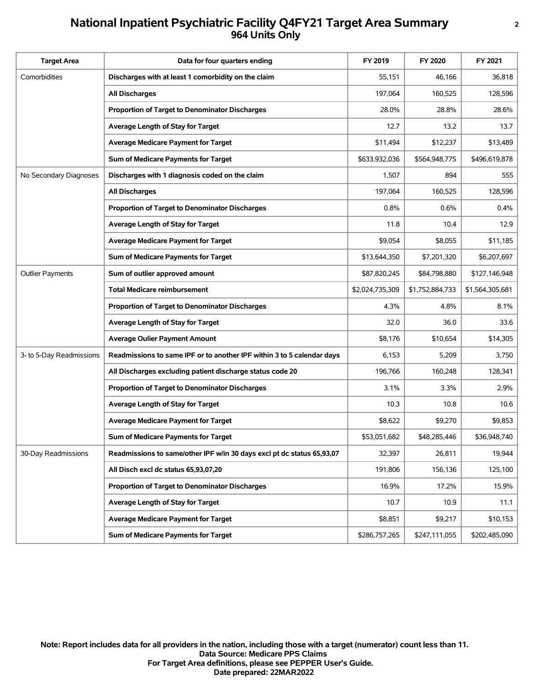## **National Inpatient Psychiatric Facility Q4FY21 Target Area Summary <sup>2</sup> 964 Units Only**

| <b>Target Area</b>       | Data for four quarters ending                                          | FY 2019         | FY 2020         | FY 2021         |
|--------------------------|------------------------------------------------------------------------|-----------------|-----------------|-----------------|
| Comorbidities            | Discharges with at least 1 comorbidity on the claim                    | 55,151          | 46,166          | 36,818          |
|                          | <b>All Discharges</b>                                                  | 197,064         | 160,525         | 128,596         |
|                          | Proportion of Target to Denominator Discharges                         | 28.0%           | 28.8%           | 28.6%           |
|                          | Average Length of Stay for Target                                      | 12.7            | 13.2            | 13.7            |
|                          | <b>Average Medicare Payment for Target</b>                             | \$11,494        | \$12,237        | \$13,489        |
|                          | Sum of Medicare Payments for Target                                    | \$633,932,036   | \$564,948,775   | \$496,619,878   |
| No Secondary Diagnoses   | Discharges with 1 diagnosis coded on the claim                         | 1,507           | 894             | 555             |
|                          | <b>All Discharges</b>                                                  | 197,064         | 160,525         | 128,596         |
|                          | Proportion of Target to Denominator Discharges                         | 0.8%            | 0.6%            | 0.4%            |
|                          | Average Length of Stay for Target                                      | 11.8            | 10.4            | 12.9            |
|                          | <b>Average Medicare Payment for Target</b>                             | \$9,054         | \$8,055         | \$11,185        |
|                          | Sum of Medicare Payments for Target                                    | \$13,644,350    | \$7,201,320     | \$6,207,697     |
| <b>Outlier Payments</b>  | Sum of outlier approved amount                                         | \$87,820,245    | \$84,798,880    | \$127,146,948   |
|                          | <b>Total Medicare reimbursement</b>                                    | \$2,024,735,309 | \$1,752,884,733 | \$1,564,305,681 |
|                          | Proportion of Target to Denominator Discharges                         | 4.3%            | 4.8%            | 8.1%            |
|                          | Average Length of Stay for Target                                      | 32.0            | 36.0            | 33.6            |
|                          | <b>Average Oulier Payment Amount</b>                                   | \$8,176         | \$10,654        | \$14,305        |
| 3- to 5-Day Readmissions | Readmissions to same IPF or to another IPF within 3 to 5 calendar days | 6,153           | 5,209           | 3,750           |
|                          | All Discharges excluding patient discharge status code 20              | 196,766         | 160,248         | 128,341         |
|                          | <b>Proportion of Target to Denominator Discharges</b>                  | 3.1%            | 3.3%            | 2.9%            |
|                          | Average Length of Stay for Target                                      | 10.3            | 10.8            | 10.6            |
|                          | Average Medicare Payment for Target                                    | \$8,622         | \$9,270         | \$9,853         |
|                          | Sum of Medicare Payments for Target                                    | \$53,051,682    | \$48,285,446    | \$36,948,740    |
| 30-Day Readmissions      | Readmissions to same/other IPF w/in 30 days excl pt dc status 65,93,07 | 32,397          | 26,811          | 19,944          |
|                          | All Disch excl dc status 65,93,07,20                                   | 191,806         | 156,136         | 125,100         |
|                          | Proportion of Target to Denominator Discharges                         | 16.9%           | 17.2%           | 15.9%           |
|                          | Average Length of Stay for Target                                      | 10.7            | 10.9            | 11.1            |
|                          | <b>Average Medicare Payment for Target</b>                             | \$8,851         | \$9,217         | \$10,153        |
|                          | Sum of Medicare Payments for Target                                    | \$286,757,265   | \$247,111,055   | \$202,485,090   |